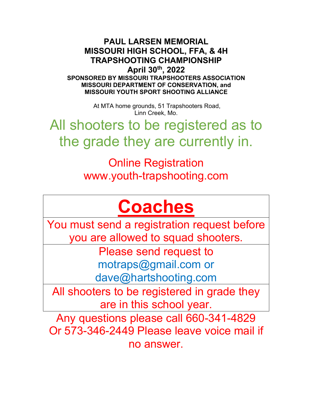**PAUL LARSEN MEMORIAL MISSOURI HIGH SCHOOL, FFA, & 4H TRAPSHOOTING CHAMPIONSHIP April 30th, 2022 SPONSORED BY MISSOURI TRAPSHOOTERS ASSOCIATION MISSOURI DEPARTMENT OF CONSERVATION, and MISSOURI YOUTH SPORT SHOOTING ALLIANCE**

> At MTA home grounds, 51 Trapshooters Road, Linn Creek, Mo.

All shooters to be registered as to the grade they are currently in.

> Online Registration www.youth-trapshooting.com

# **Coaches**

You must send a registration request before you are allowed to squad shooters.

> Please send request to motraps@gmail.com or dave@hartshooting.com

All shooters to be registered in grade they are in this school year.

Any questions please call 660-341-4829 Or 573-346-2449 Please leave voice mail if no answer.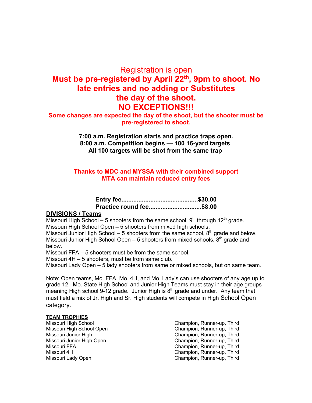### Registration is open

## **Must be pre-registered by April 22th , 9pm to shoot. No late entries and no adding or Substitutes the day of the shoot. NO EXCEPTIONS!!!**

**Some changes are expected the day of the shoot, but the shooter must be pre-registered to shoot.**

> **7:00 a.m. Registration starts and practice traps open. 8:00 a.m. Competition begins — 100 16-yard targets All 100 targets will be shot from the same trap**

#### **Thanks to MDC and MYSSA with their combined support MTA can maintain reduced entry fees**

| Practice round fee\$8.00 |  |
|--------------------------|--|

#### **DIVISIONS / Teams**

Missouri High School – 5 shooters from the same school, 9<sup>th</sup> through 12<sup>th</sup> grade.

Missouri High School Open **–** 5 shooters from mixed high schools.

Missouri Junior High School – 5 shooters from the same school,  $8<sup>th</sup>$  grade and below. Missouri Junior High School Open  $-5$  shooters from mixed schools,  $8<sup>th</sup>$  grade and below.

Missouri FFA – 5 shooters must be from the same school.

Missouri 4H – 5 shooters, must be from same club.

Missouri Lady Open – 5 lady shooters from same or mixed schools, but on same team.

Note: Open teams, Mo. FFA, Mo. 4H, and Mo. Lady's can use shooters of any age up to grade 12. Mo. State High School and Junior High Teams must stay in their age groups meaning High school 9-12 grade. Junior High is  $8<sup>th</sup>$  grade and under. Any team that must field a mix of Jr. High and Sr. High students will compete in High School Open category.

#### **TEAM TROPHIES**

- Missouri High School Champion, Runner-up, Third
- Missouri High School Open Champion, Runner-up, Third Missouri Junior High Champion, Runner-up, Third Missouri Junior High Open Champion, Runner-up, Third Missouri FFA Champion, Runner-up, Third Missouri 4H<br>
Missouri Lady Open<br>
Missouri Lady Open<br>
Champion, Runner-up, Third Champion, Runner-up, Third